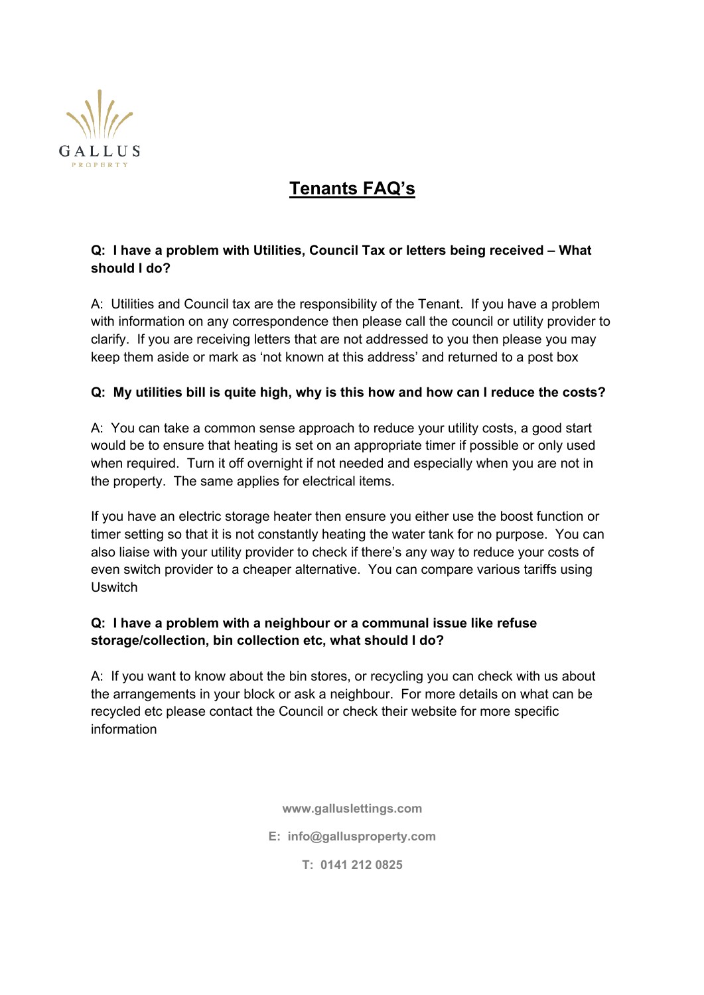

# **Tenants FAQ's**

## **Q: I have a problem with Utilities, Council Tax or letters being received – What should I do?**

A: Utilities and Council tax are the responsibility of the Tenant. If you have a problem with information on any correspondence then please call the council or utility provider to clarify. If you are receiving letters that are not addressed to you then please you may keep them aside or mark as 'not known at this address' and returned to a post box

### **Q: My utilities bill is quite high, why is this how and how can I reduce the costs?**

A: You can take a common sense approach to reduce your utility costs, a good start would be to ensure that heating is set on an appropriate timer if possible or only used when required. Turn it off overnight if not needed and especially when you are not in the property. The same applies for electrical items.

If you have an electric storage heater then ensure you either use the boost function or timer setting so that it is not constantly heating the water tank for no purpose. You can also liaise with your utility provider to check if there's any way to reduce your costs of even switch provider to a cheaper alternative. You can compare various tariffs using Uswitch

### **Q: I have a problem with a neighbour or a communal issue like refuse storage/collection, bin collection etc, what should I do?**

A: If you want to know about the bin stores, or recycling you can check with us about the arrangements in your block or ask a neighbour. For more details on what can be recycled etc please contact the Council or check their website for more specific information

**www.galluslettings.com**

**E: info@gallusproperty.com**

**T: 0141 212 0825**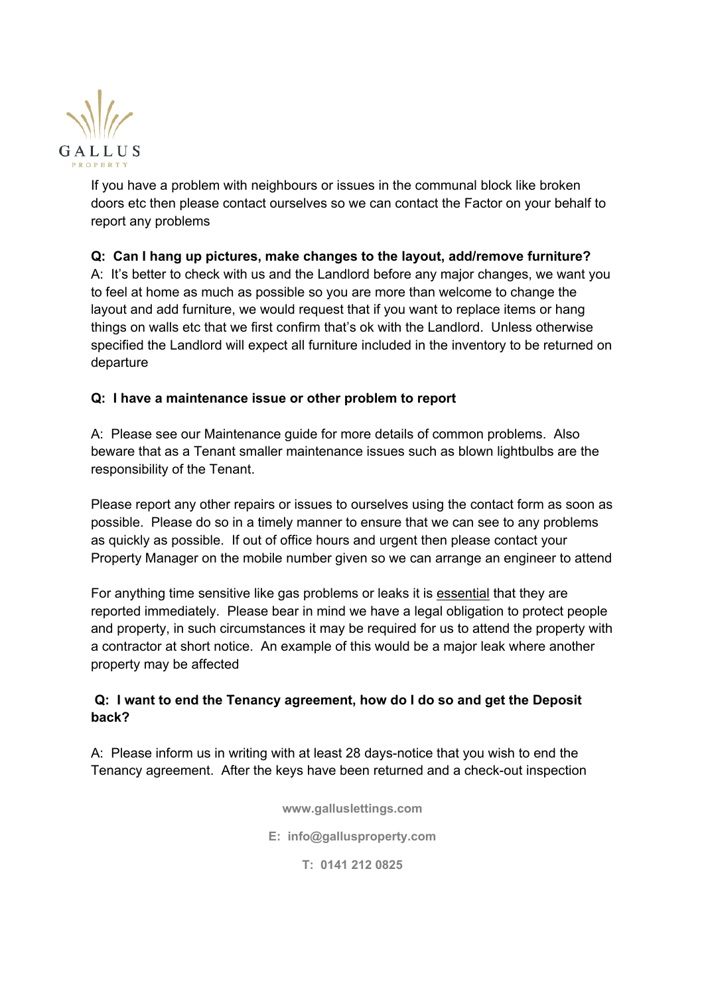

If you have a problem with neighbours or issues in the communal block like broken doors etc then please contact ourselves so we can contact the Factor on your behalf to report any problems

**Q: Can I hang up pictures, make changes to the layout, add/remove furniture?** A: It's better to check with us and the Landlord before any major changes, we want you to feel at home as much as possible so you are more than welcome to change the layout and add furniture, we would request that if you want to replace items or hang things on walls etc that we first confirm that's ok with the Landlord. Unless otherwise specified the Landlord will expect all furniture included in the inventory to be returned on departure

#### **Q: I have a maintenance issue or other problem to report**

A: Please see our Maintenance guide for more details of common problems. Also beware that as a Tenant smaller maintenance issues such as blown lightbulbs are the responsibility of the Tenant.

Please report any other repairs or issues to ourselves using the contact form as soon as possible. Please do so in a timely manner to ensure that we can see to any problems as quickly as possible. If out of office hours and urgent then please contact your Property Manager on the mobile number given so we can arrange an engineer to attend

For anything time sensitive like gas problems or leaks it is essential that they are reported immediately. Please bear in mind we have a legal obligation to protect people and property, in such circumstances it may be required for us to attend the property with a contractor at short notice. An example of this would be a major leak where another property may be affected

### **Q: I want to end the Tenancy agreement, how do I do so and get the Deposit back?**

A: Please inform us in writing with at least 28 days-notice that you wish to end the Tenancy agreement. After the keys have been returned and a check-out inspection

**www.galluslettings.com**

**E: info@gallusproperty.com**

**T: 0141 212 0825**